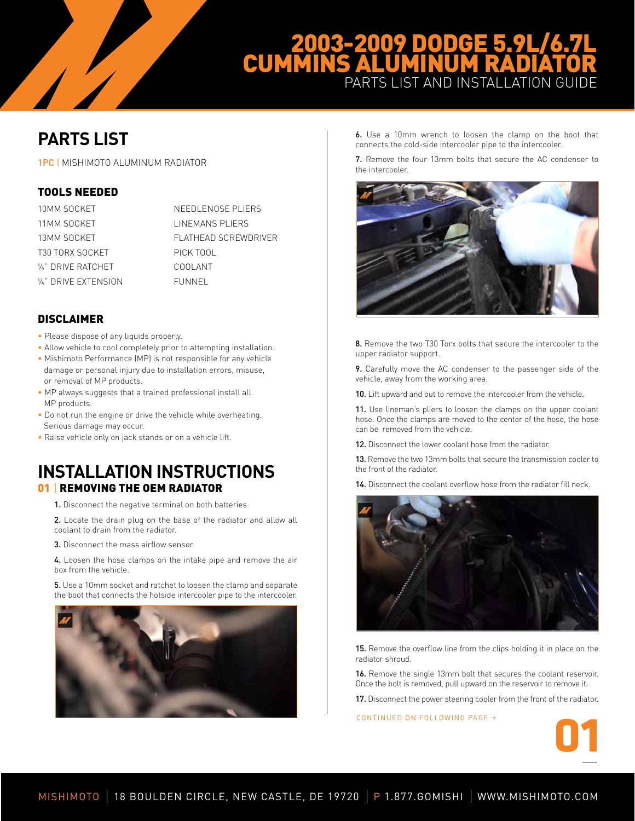## 2003-2009 DODGE 5.9L/6.7L CUMMINS ALUMINUM RADIATOR PARTS LIST AND INSTALLATION GUIDE

# **PARTS LIST**

1PC | MISHIMOTO ALUMINUM RADIATOR

### Tools Needed

| 10MM SOCKET         | NEEDLENOSE PLIERS    |
|---------------------|----------------------|
| 11MM SOCKET         | LINEMANS PLIERS      |
| 13MM SOCKET         | FLATHEAD SCREWDRIVER |
| T30 TORX SOCKET     | PICK TOOL            |
| V." DRIVE RATCHET   | COOL ANT             |
| V." DRIVE EXTENSION | FUNNEL               |

### **DISCLAIMER**

- Please dispose of any liquids properly.
- Allow vehicle to cool completely prior to attempting installation.
- Mishimoto Performance (MP) is not responsible for any vehicle damage or personal injury due to installation errors, misuse, or removal of MP products.
- MP always suggests that a trained professional install all MP products.
- Do not run the engine or drive the vehicle while overheating. Serious damage may occur.
- Raise vehicle only on jack stands or on a vehicle lift.

### **INSTALLATION INSTRUCTIONS 01 | REMOVING THE OEM RADIATOR**

1. Disconnect the negative terminal on both batteries.

2. Locate the drain plug on the base of the radiator and allow all coolant to drain from the radiator.

3. Disconnect the mass airflow sensor.

4. Loosen the hose clamps on the intake pipe and remove the air box from the vehicle.

5. Use a 10mm socket and ratchet to loosen the clamp and separate the boot that connects the hotside intercooler pipe to the intercooler.



6. Use a 10mm wrench to loosen the clamp on the boot that connects the cold-side intercooler pipe to the intercooler.

7. Remove the four 13mm bolts that secure the AC condenser to the intercooler.



8. Remove the two T30 Torx bolts that secure the intercooler to the upper radiator support.

9. Carefully move the AC condenser to the passenger side of the vehicle, away from the working area.

10. Lift upward and out to remove the intercooler from the vehicle.

11. Use lineman's pliers to loosen the clamps on the upper coolant hose. Once the clamps are moved to the center of the hose, the hose can be removed from the vehicle.

12. Disconnect the lower coolant hose from the radiator.

13. Remove the two 13mm bolts that secure the transmission cooler to the front of the radiator.

14. Disconnect the coolant overflow hose from the radiator fill neck.



15. Remove the overflow line from the clips holding it in place on the radiator shroud.

16. Remove the single 13mm bolt that secures the coolant reservoir. Once the bolt is removed, pull upward on the reservoir to remove it.

17. Disconnect the power steering cooler from the front of the radiator.

CONTINUED ON FOLLOWING PAGE  $\rightarrow$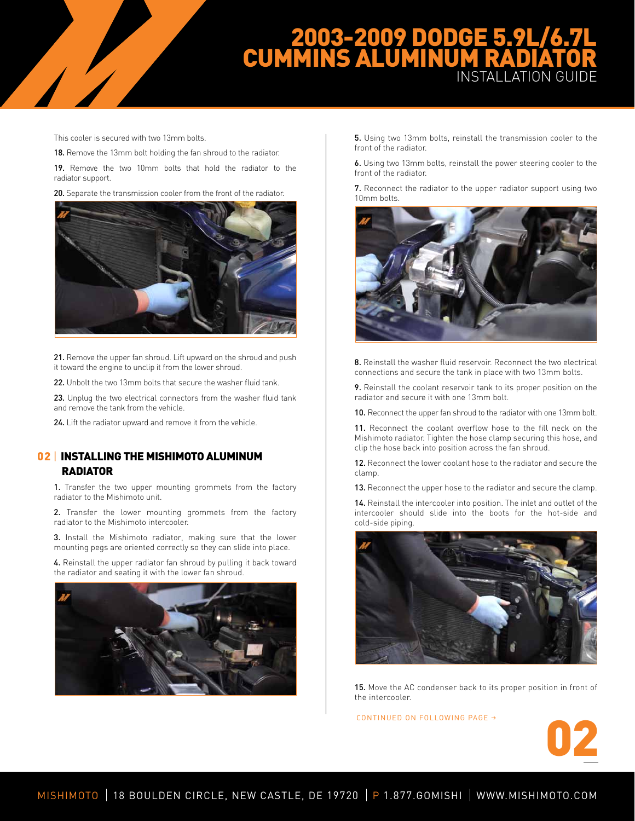## 2003-2009 DODGE 5.9L/6.7L CUMMINS ALUMINUM RADIATOR INSTALLATION GUIDE

This cooler is secured with two 13mm bolts.

18. Remove the 13mm bolt holding the fan shroud to the radiator.

19. Remove the two 10mm bolts that hold the radiator to the radiator support.

20. Separate the transmission cooler from the front of the radiator.



21. Remove the upper fan shroud. Lift upward on the shroud and push it toward the engine to unclip it from the lower shroud.

22. Unbolt the two 13mm bolts that secure the washer fluid tank.

23. Unplug the two electrical connectors from the washer fluid tank and remove the tank from the vehicle.

24. Lift the radiator upward and remove it from the vehicle.

### 02 | INSTALLING THE MISHIMOTO ALUMINUM RADIATOR

1. Transfer the two upper mounting grommets from the factory radiator to the Mishimoto unit.

2. Transfer the lower mounting grommets from the factory radiator to the Mishimoto intercooler.

3. Install the Mishimoto radiator, making sure that the lower mounting pegs are oriented correctly so they can slide into place.

4. Reinstall the upper radiator fan shroud by pulling it back toward the radiator and seating it with the lower fan shroud.



5. Using two 13mm bolts, reinstall the transmission cooler to the front of the radiator.

6. Using two 13mm bolts, reinstall the power steering cooler to the front of the radiator.

7. Reconnect the radiator to the upper radiator support using two 10mm bolts.



8. Reinstall the washer fluid reservoir. Reconnect the two electrical connections and secure the tank in place with two 13mm bolts.

9. Reinstall the coolant reservoir tank to its proper position on the radiator and secure it with one 13mm bolt.

10. Reconnect the upper fan shroud to the radiator with one 13mm bolt.

11. Reconnect the coolant overflow hose to the fill neck on the Mishimoto radiator. Tighten the hose clamp securing this hose, and clip the hose back into position across the fan shroud.

12. Reconnect the lower coolant hose to the radiator and secure the clamp.

13. Reconnect the upper hose to the radiator and secure the clamp.

14. Reinstall the intercooler into position. The inlet and outlet of the intercooler should slide into the boots for the hot-side and cold-side piping.



15. Move the AC condenser back to its proper position in front of the intercooler.

CONTINUED ON FOLLOWING PAGE  $\rightarrow$